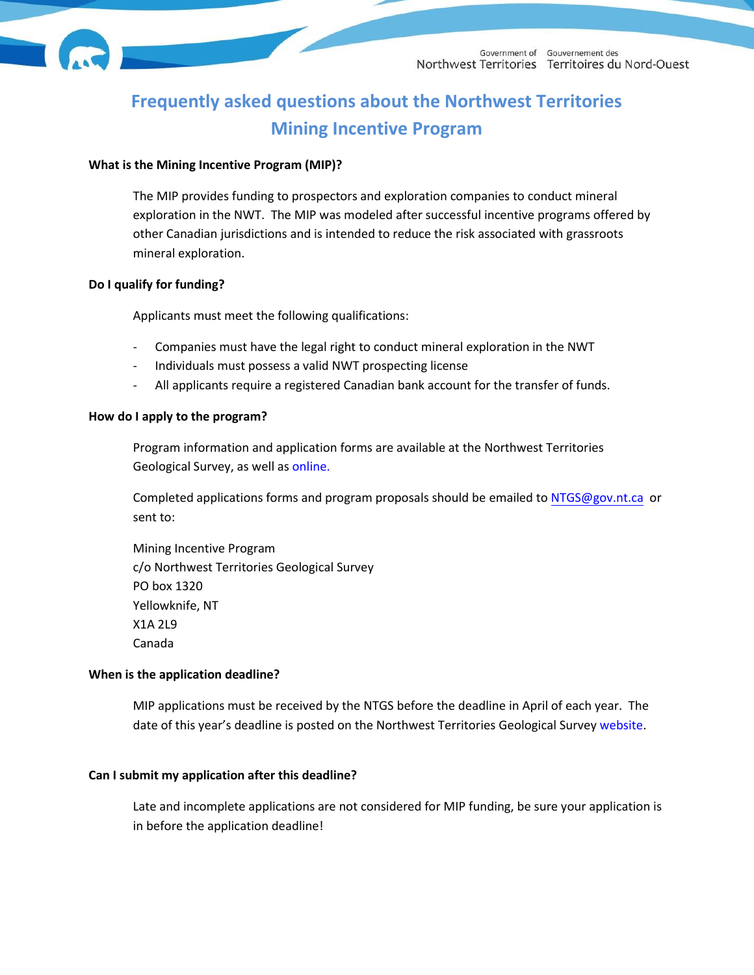

# **Frequently asked questions about the Northwest Territories Mining Incentive Program**

## **What is the Mining Incentive Program (MIP)?**

The MIP provides funding to prospectors and exploration companies to conduct mineral exploration in the NWT. The MIP was modeled after successful incentive programs offered by other Canadian jurisdictions and is intended to reduce the risk associated with grassroots mineral exploration.

## **Do I qualify for funding?**

Applicants must meet the following qualifications:

- Companies must have the legal right to conduct mineral exploration in the NWT
- Individuals must possess a valid NWT prospecting license
- All applicants require a registered Canadian bank account for the transfer of funds.

## **How do I apply to the program?**

Program information and application forms are available at the Northwest Territories Geological Survey, as well as [online](https://www.nwtgeoscience.ca/services/mining-incentive-program).

Completed applications forms and program proposals should be emailed to [NTGS@gov.nt.ca](mailto:NTGS@gov.nt.ca) or sent to:

Mining Incentive Program c/o Northwest Territories Geological Survey PO box 1320 Yellowknife, NT X1A 2L9 Canada

## **When is the application deadline?**

MIP applications must be received by the NTGS before the deadline in April of each year. The date of this year's deadline is posted on the Northwest Territories Geological Survey [website](https://www.nwtgeoscience.ca/services/mining-incentive-program).

## **Can I submit my application after this deadline?**

Late and incomplete applications are not considered for MIP funding, be sure your application is in before the application deadline!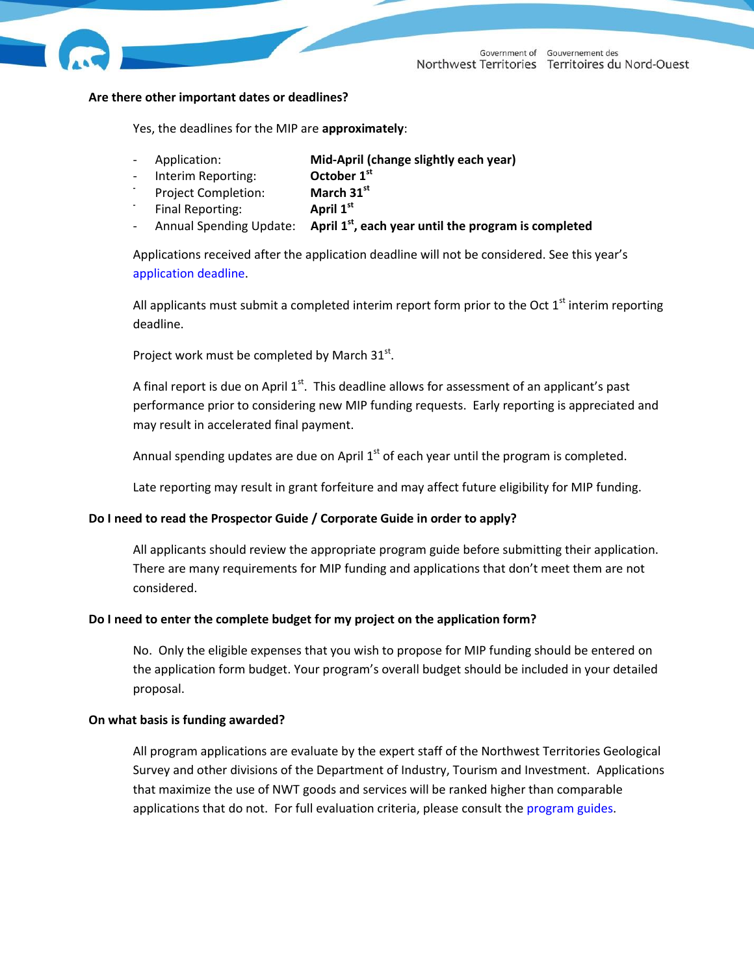

## **Are there other important dates or deadlines?**

Yes, the deadlines for the MIP are **approximately**:

- Application: **Mid-April (change slightly each year)**
- Interim Reporting: **October 1st**
- **-** Project Completion: **March 31st**
- **-** Final Reporting: **April 1st**
- Annual Spending Update: **st , each year until the program is completed**

Applications received after the application deadline will not be considered. See this year's [application deadline.](http://www.nwtgeoscience.ca/mip)

All applicants must submit a completed interim report form prior to the Oct  $1<sup>st</sup>$  interim reporting deadline.

Project work must be completed by March  $31^{st}$ .

A final report is due on April  $1^{st}$ . This deadline allows for assessment of an applicant's past performance prior to considering new MIP funding requests. Early reporting is appreciated and may result in accelerated final payment.

Annual spending updates are due on April  $1^{st}$  of each year until the program is completed.

Late reporting may result in grant forfeiture and may affect future eligibility for MIP funding.

# **Do I need to read the Prospector Guide / Corporate Guide in order to apply?**

All applicants should review the appropriate program guide before submitting their application. There are many requirements for MIP funding and applications that don't meet them are not considered.

# **Do I need to enter the complete budget for my project on the application form?**

No. Only the eligible expenses that you wish to propose for MIP funding should be entered on the application form budget. Your program's overall budget should be included in your detailed proposal.

# **On what basis is funding awarded?**

All program applications are evaluate by the expert staff of the Northwest Territories Geological Survey and other divisions of the Department of Industry, Tourism and Investment. Applications that maximize the use of NWT goods and services will be ranked higher than comparable applications that do not. For full evaluation criteria, please consult the [program guides](https://www.nwtgeoscience.ca/services/mining-incentive-program).